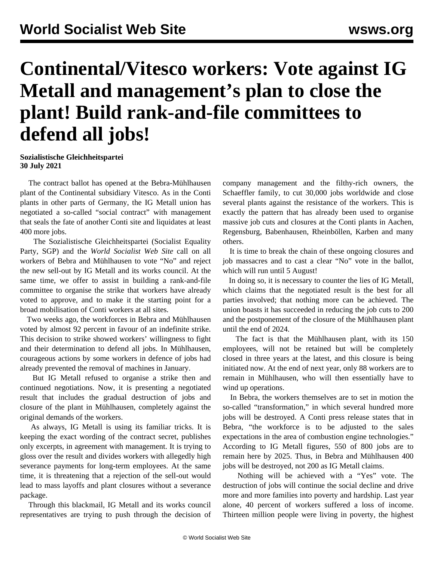## **Continental/Vitesco workers: Vote against IG Metall and management's plan to close the plant! Build rank-and-file committees to defend all jobs!**

## **Sozialistische Gleichheitspartei 30 July 2021**

 The contract ballot has opened at the Bebra-Mühlhausen plant of the Continental subsidiary Vitesco. As in the Conti plants in other parts of Germany, the IG Metall union has negotiated a so-called "social contract" with management that seals the fate of another Conti site and liquidates at least 400 more jobs.

 The Sozialistische Gleichheitspartei (Socialist Equality Party, SGP) and the *World Socialist Web Site* call on all workers of Bebra and Mühlhausen to vote "No" and reject the new sell-out by IG Metall and its works council. At the same time, we offer to assist in building a rank-and-file committee to organise the strike that workers have already voted to approve, and to make it the starting point for a broad mobilisation of Conti workers at all sites.

 Two weeks ago, the workforces in Bebra and Mühlhausen voted by almost 92 percent in favour of an indefinite strike. This decision to strike showed workers' willingness to fight and their determination to defend all jobs. In Mühlhausen, courageous actions by some workers in defence of jobs had already prevented the removal of machines in January.

 But IG Metall refused to organise a strike then and continued negotiations. Now, it is presenting a negotiated result that includes the gradual destruction of jobs and closure of the plant in Mühlhausen, completely against the original demands of the workers.

 As always, IG Metall is using its familiar tricks. It is keeping the exact wording of the contract secret, publishes only excerpts, in agreement with management. It is trying to gloss over the result and divides workers with allegedly high severance payments for long-term employees. At the same time, it is threatening that a rejection of the sell-out would lead to mass layoffs and plant closures without a severance package.

 Through this blackmail, IG Metall and its works council representatives are trying to push through the decision of company management and the filthy-rich owners, the Schaeffler family, to cut 30,000 jobs worldwide and close several plants against the resistance of the workers. This is exactly the pattern that has already been used to organise massive job cuts and closures at the Conti plants in Aachen, Regensburg, Babenhausen, Rheinböllen, Karben and many others.

 It is time to break the chain of these ongoing closures and job massacres and to cast a clear "No" vote in the ballot, which will run until 5 August!

 In doing so, it is necessary to counter the lies of IG Metall, which claims that the negotiated result is the best for all parties involved; that nothing more can be achieved. The union boasts it has succeeded in reducing the job cuts to 200 and the postponement of the closure of the Mühlhausen plant until the end of 2024.

 The fact is that the Mühlhausen plant, with its 150 employees, will not be retained but will be completely closed in three years at the latest, and this closure is being initiated now. At the end of next year, only 88 workers are to remain in Mühlhausen, who will then essentially have to wind up operations.

 In Bebra, the workers themselves are to set in motion the so-called "transformation," in which several hundred more jobs will be destroyed. A Conti press release states that in Bebra, "the workforce is to be adjusted to the sales expectations in the area of combustion engine technologies." According to IG Metall figures, 550 of 800 jobs are to remain here by 2025. Thus, in Bebra and Mühlhausen 400 jobs will be destroyed, not 200 as IG Metall claims.

 Nothing will be achieved with a "Yes" vote. The destruction of jobs will continue the social decline and drive more and more families into poverty and hardship. Last year alone, 40 percent of workers suffered a loss of income. Thirteen million people were living in poverty, the highest